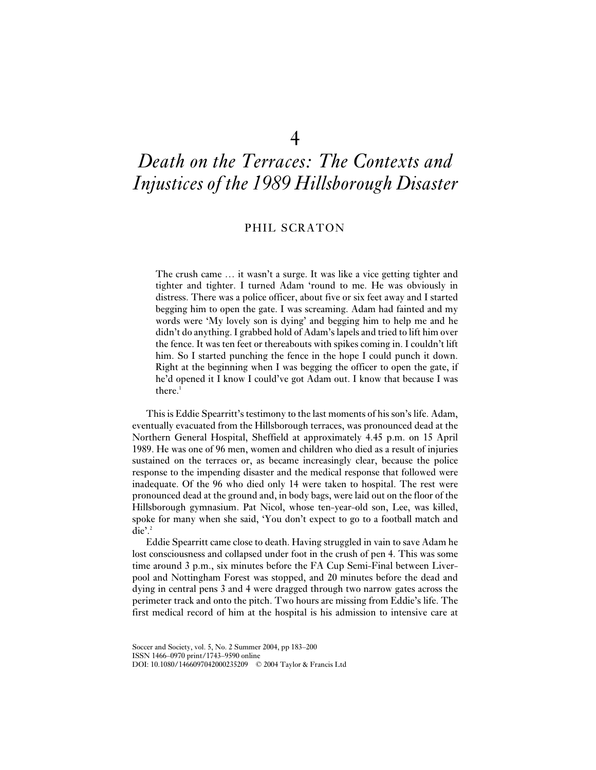# *Death on the Terraces: The Contexts and Injustices of the 1989 Hillsborough Disaster*

# PHIL SCRATON

The crush came … it wasn't a surge. It was like a vice getting tighter and tighter and tighter. I turned Adam 'round to me. He was obviously in distress. There was a police officer, about five or six feet away and I started begging him to open the gate. I was screaming. Adam had fainted and my words were 'My lovely son is dying' and begging him to help me and he didn't do anything. I grabbed hold of Adam's lapels and tried to lift him over the fence. It was ten feet or thereabouts with spikes coming in. I couldn't lift him. So I started punching the fence in the hope I could punch it down. Right at the beginning when I was begging the officer to open the gate, if he'd opened it I know I could've got Adam out. I know that because I was there $1$ 

This is Eddie Spearritt's testimony to the last moments of his son's life. Adam, eventually evacuated from the Hillsborough terraces, was pronounced dead at the Northern General Hospital, Sheffield at approximately 4.45 p.m. on 15 April 1989. He was one of 96 men, women and children who died as a result of injuries sustained on the terraces or, as became increasingly clear, because the police response to the impending disaster and the medical response that followed were inadequate. Of the 96 who died only 14 were taken to hospital. The rest were pronounced dead at the ground and, in body bags, were laid out on the floor of the Hillsborough gymnasium. Pat Nicol, whose ten-year-old son, Lee, was killed, spoke for many when she said, 'You don't expect to go to a football match and  $die'.<sup>2</sup>$ 

Eddie Spearritt came close to death. Having struggled in vain to save Adam he lost consciousness and collapsed under foot in the crush of pen 4. This was some time around 3 p.m., six minutes before the FA Cup Semi-Final between Liverpool and Nottingham Forest was stopped, and 20 minutes before the dead and dying in central pens 3 and 4 were dragged through two narrow gates across the perimeter track and onto the pitch. Two hours are missing from Eddie's life. The first medical record of him at the hospital is his admission to intensive care at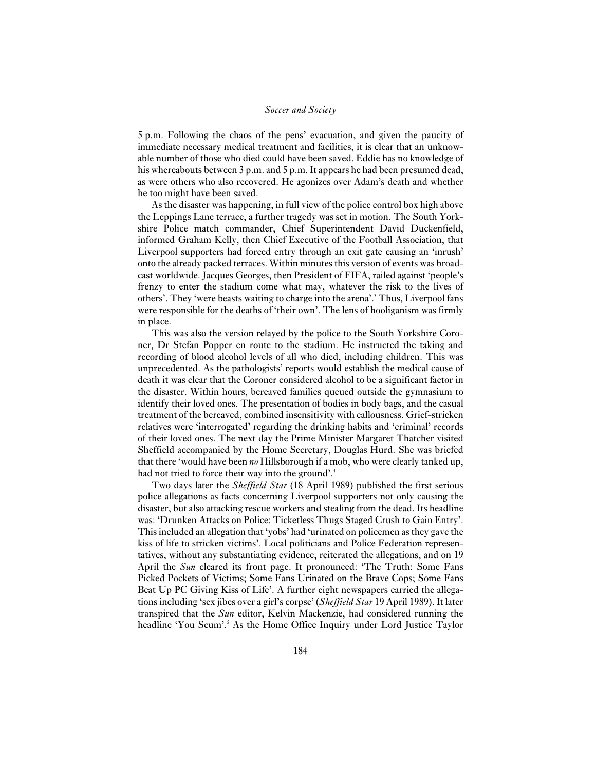5 p.m. Following the chaos of the pens' evacuation, and given the paucity of immediate necessary medical treatment and facilities, it is clear that an unknowable number of those who died could have been saved. Eddie has no knowledge of his whereabouts between 3 p.m. and 5 p.m. It appears he had been presumed dead, as were others who also recovered. He agonizes over Adam's death and whether he too might have been saved.

As the disaster was happening, in full view of the police control box high above the Leppings Lane terrace, a further tragedy was set in motion. The South Yorkshire Police match commander, Chief Superintendent David Duckenfield, informed Graham Kelly, then Chief Executive of the Football Association, that Liverpool supporters had forced entry through an exit gate causing an 'inrush' onto the already packed terraces. Within minutes this version of events was broadcast worldwide. Jacques Georges, then President of FIFA, railed against 'people's frenzy to enter the stadium come what may, whatever the risk to the lives of others'. They 'were beasts waiting to charge into the arena'.<sup>3</sup> Thus, Liverpool fans were responsible for the deaths of 'their own'. The lens of hooliganism was firmly in place.

This was also the version relayed by the police to the South Yorkshire Coroner, Dr Stefan Popper en route to the stadium. He instructed the taking and recording of blood alcohol levels of all who died, including children. This was unprecedented. As the pathologists' reports would establish the medical cause of death it was clear that the Coroner considered alcohol to be a significant factor in the disaster. Within hours, bereaved families queued outside the gymnasium to identify their loved ones. The presentation of bodies in body bags, and the casual treatment of the bereaved, combined insensitivity with callousness. Grief-stricken relatives were 'interrogated' regarding the drinking habits and 'criminal' records of their loved ones. The next day the Prime Minister Margaret Thatcher visited Sheffield accompanied by the Home Secretary, Douglas Hurd. She was briefed that there 'would have been *no* Hillsborough if a mob, who were clearly tanked up, had not tried to force their way into the ground'.<sup>4</sup>

Two days later the *Sheffield Star* (18 April 1989) published the first serious police allegations as facts concerning Liverpool supporters not only causing the disaster, but also attacking rescue workers and stealing from the dead. Its headline was: 'Drunken Attacks on Police: Ticketless Thugs Staged Crush to Gain Entry'. This included an allegation that 'yobs' had 'urinated on policemen as they gave the kiss of life to stricken victims'. Local politicians and Police Federation representatives, without any substantiating evidence, reiterated the allegations, and on 19 April the *Sun* cleared its front page. It pronounced: 'The Truth: Some Fans Picked Pockets of Victims; Some Fans Urinated on the Brave Cops; Some Fans Beat Up PC Giving Kiss of Life'. A further eight newspapers carried the allegations including 'sex jibes over a girl's corpse' (*Sheffield Star* 19 April 1989). It later transpired that the *Sun* editor, Kelvin Mackenzie, had considered running the headline 'You Scum'.<sup>5</sup> As the Home Office Inquiry under Lord Justice Taylor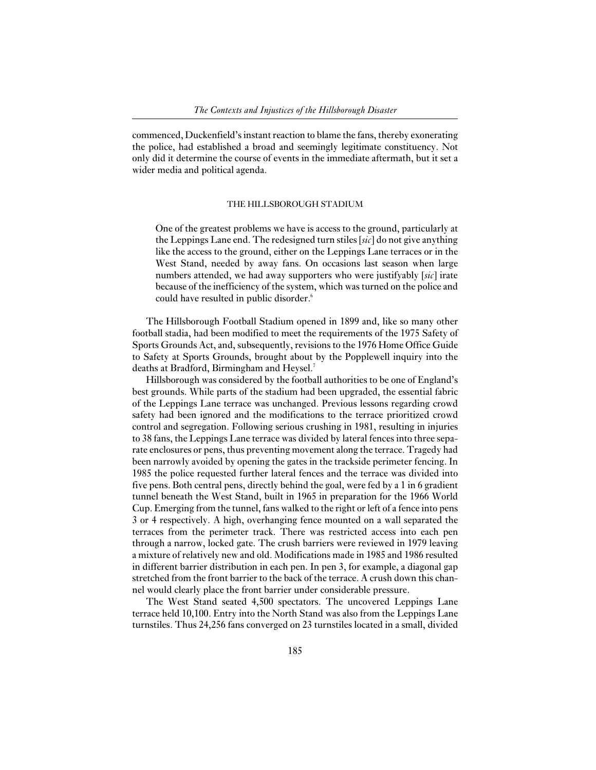commenced, Duckenfield's instant reaction to blame the fans, thereby exonerating the police, had established a broad and seemingly legitimate constituency. Not only did it determine the course of events in the immediate aftermath, but it set a wider media and political agenda.

#### THE HILLSBOROUGH STADIUM

One of the greatest problems we have is access to the ground, particularly at the Leppings Lane end. The redesigned turn stiles [*sic*] do not give anything like the access to the ground, either on the Leppings Lane terraces or in the West Stand, needed by away fans. On occasions last season when large numbers attended, we had away supporters who were justifyably [*sic*] irate because of the inefficiency of the system, which was turned on the police and could have resulted in public disorder.<sup>6</sup>

The Hillsborough Football Stadium opened in 1899 and, like so many other football stadia, had been modified to meet the requirements of the 1975 Safety of Sports Grounds Act, and, subsequently, revisions to the 1976 Home Office Guide to Safety at Sports Grounds, brought about by the Popplewell inquiry into the deaths at Bradford, Birmingham and Heysel.<sup>7</sup>

Hillsborough was considered by the football authorities to be one of England's best grounds. While parts of the stadium had been upgraded, the essential fabric of the Leppings Lane terrace was unchanged. Previous lessons regarding crowd safety had been ignored and the modifications to the terrace prioritized crowd control and segregation. Following serious crushing in 1981, resulting in injuries to 38 fans, the Leppings Lane terrace was divided by lateral fences into three separate enclosures or pens, thus preventing movement along the terrace. Tragedy had been narrowly avoided by opening the gates in the trackside perimeter fencing. In 1985 the police requested further lateral fences and the terrace was divided into five pens. Both central pens, directly behind the goal, were fed by a 1 in 6 gradient tunnel beneath the West Stand, built in 1965 in preparation for the 1966 World Cup. Emerging from the tunnel, fans walked to the right or left of a fence into pens 3 or 4 respectively. A high, overhanging fence mounted on a wall separated the terraces from the perimeter track. There was restricted access into each pen through a narrow, locked gate. The crush barriers were reviewed in 1979 leaving a mixture of relatively new and old. Modifications made in 1985 and 1986 resulted in different barrier distribution in each pen. In pen 3, for example, a diagonal gap stretched from the front barrier to the back of the terrace. A crush down this channel would clearly place the front barrier under considerable pressure.

The West Stand seated 4,500 spectators. The uncovered Leppings Lane terrace held 10,100. Entry into the North Stand was also from the Leppings Lane turnstiles. Thus 24,256 fans converged on 23 turnstiles located in a small, divided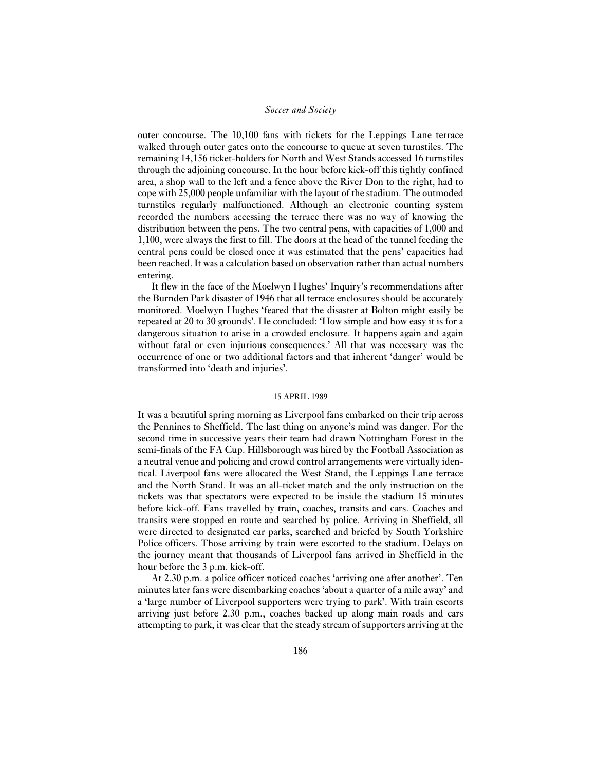outer concourse. The 10,100 fans with tickets for the Leppings Lane terrace walked through outer gates onto the concourse to queue at seven turnstiles. The remaining 14,156 ticket-holders for North and West Stands accessed 16 turnstiles through the adjoining concourse. In the hour before kick-off this tightly confined area, a shop wall to the left and a fence above the River Don to the right, had to cope with 25,000 people unfamiliar with the layout of the stadium. The outmoded turnstiles regularly malfunctioned. Although an electronic counting system recorded the numbers accessing the terrace there was no way of knowing the distribution between the pens. The two central pens, with capacities of 1,000 and 1,100, were always the first to fill. The doors at the head of the tunnel feeding the central pens could be closed once it was estimated that the pens' capacities had been reached. It was a calculation based on observation rather than actual numbers entering.

It flew in the face of the Moelwyn Hughes' Inquiry's recommendations after the Burnden Park disaster of 1946 that all terrace enclosures should be accurately monitored. Moelwyn Hughes 'feared that the disaster at Bolton might easily be repeated at 20 to 30 grounds'. He concluded: 'How simple and how easy it is for a dangerous situation to arise in a crowded enclosure. It happens again and again without fatal or even injurious consequences.' All that was necessary was the occurrence of one or two additional factors and that inherent 'danger' would be transformed into 'death and injuries'.

#### 15 APRIL 1989

It was a beautiful spring morning as Liverpool fans embarked on their trip across the Pennines to Sheffield. The last thing on anyone's mind was danger. For the second time in successive years their team had drawn Nottingham Forest in the semi-finals of the FA Cup. Hillsborough was hired by the Football Association as a neutral venue and policing and crowd control arrangements were virtually identical. Liverpool fans were allocated the West Stand, the Leppings Lane terrace and the North Stand. It was an all-ticket match and the only instruction on the tickets was that spectators were expected to be inside the stadium 15 minutes before kick-off. Fans travelled by train, coaches, transits and cars. Coaches and transits were stopped en route and searched by police. Arriving in Sheffield, all were directed to designated car parks, searched and briefed by South Yorkshire Police officers. Those arriving by train were escorted to the stadium. Delays on the journey meant that thousands of Liverpool fans arrived in Sheffield in the hour before the 3 p.m. kick-off.

At 2.30 p.m. a police officer noticed coaches 'arriving one after another'. Ten minutes later fans were disembarking coaches 'about a quarter of a mile away' and a 'large number of Liverpool supporters were trying to park'. With train escorts arriving just before 2.30 p.m., coaches backed up along main roads and cars attempting to park, it was clear that the steady stream of supporters arriving at the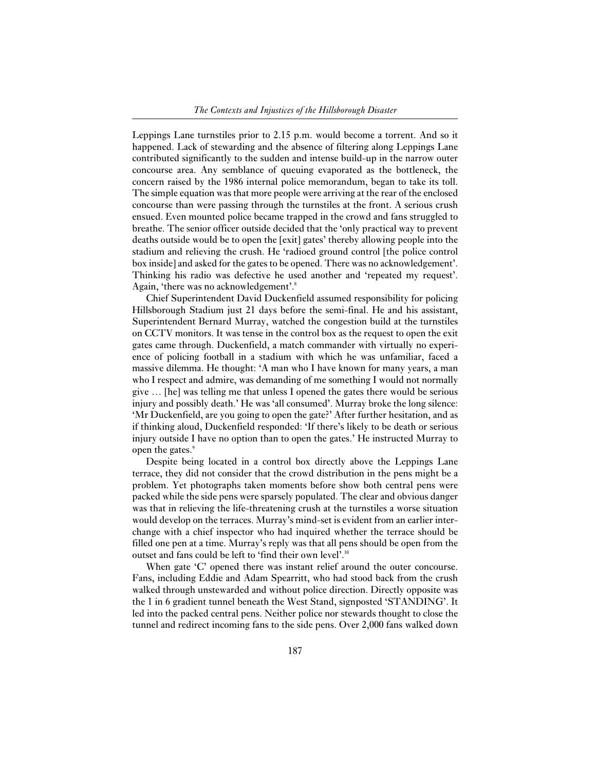Leppings Lane turnstiles prior to 2.15 p.m. would become a torrent. And so it happened. Lack of stewarding and the absence of filtering along Leppings Lane contributed significantly to the sudden and intense build-up in the narrow outer concourse area. Any semblance of queuing evaporated as the bottleneck, the concern raised by the 1986 internal police memorandum, began to take its toll. The simple equation was that more people were arriving at the rear of the enclosed concourse than were passing through the turnstiles at the front. A serious crush ensued. Even mounted police became trapped in the crowd and fans struggled to breathe. The senior officer outside decided that the 'only practical way to prevent deaths outside would be to open the [exit] gates' thereby allowing people into the stadium and relieving the crush. He 'radioed ground control [the police control box inside] and asked for the gates to be opened. There was no acknowledgement'. Thinking his radio was defective he used another and 'repeated my request'. Again, 'there was no acknowledgement'.<sup>8</sup>

Chief Superintendent David Duckenfield assumed responsibility for policing Hillsborough Stadium just 21 days before the semi-final. He and his assistant, Superintendent Bernard Murray, watched the congestion build at the turnstiles on CCTV monitors. It was tense in the control box as the request to open the exit gates came through. Duckenfield, a match commander with virtually no experience of policing football in a stadium with which he was unfamiliar, faced a massive dilemma. He thought: 'A man who I have known for many years, a man who I respect and admire, was demanding of me something I would not normally give … [he] was telling me that unless I opened the gates there would be serious injury and possibly death.' He was 'all consumed'. Murray broke the long silence: 'Mr Duckenfield, are you going to open the gate?' After further hesitation, and as if thinking aloud, Duckenfield responded: 'If there's likely to be death or serious injury outside I have no option than to open the gates.' He instructed Murray to open the gates.<sup>9</sup>

Despite being located in a control box directly above the Leppings Lane terrace, they did not consider that the crowd distribution in the pens might be a problem. Yet photographs taken moments before show both central pens were packed while the side pens were sparsely populated. The clear and obvious danger was that in relieving the life-threatening crush at the turnstiles a worse situation would develop on the terraces. Murray's mind-set is evident from an earlier interchange with a chief inspector who had inquired whether the terrace should be filled one pen at a time. Murray's reply was that all pens should be open from the outset and fans could be left to 'find their own level'.<sup>10</sup>

When gate 'C' opened there was instant relief around the outer concourse. Fans, including Eddie and Adam Spearritt, who had stood back from the crush walked through unstewarded and without police direction. Directly opposite was the 1 in 6 gradient tunnel beneath the West Stand, signposted 'STANDING'. It led into the packed central pens. Neither police nor stewards thought to close the tunnel and redirect incoming fans to the side pens. Over 2,000 fans walked down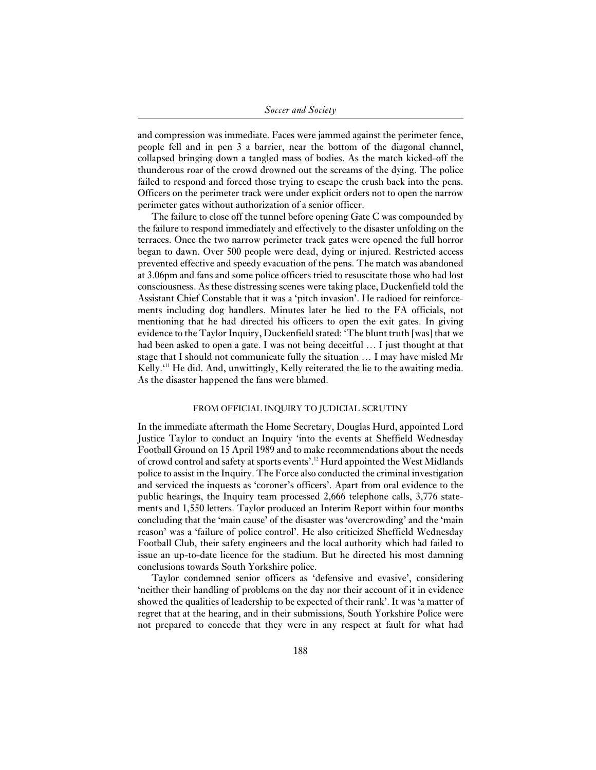and compression was immediate. Faces were jammed against the perimeter fence, people fell and in pen 3 a barrier, near the bottom of the diagonal channel, collapsed bringing down a tangled mass of bodies. As the match kicked-off the thunderous roar of the crowd drowned out the screams of the dying. The police failed to respond and forced those trying to escape the crush back into the pens. Officers on the perimeter track were under explicit orders not to open the narrow perimeter gates without authorization of a senior officer.

The failure to close off the tunnel before opening Gate C was compounded by the failure to respond immediately and effectively to the disaster unfolding on the terraces. Once the two narrow perimeter track gates were opened the full horror began to dawn. Over 500 people were dead, dying or injured. Restricted access prevented effective and speedy evacuation of the pens. The match was abandoned at 3.06pm and fans and some police officers tried to resuscitate those who had lost consciousness. As these distressing scenes were taking place, Duckenfield told the Assistant Chief Constable that it was a 'pitch invasion'. He radioed for reinforcements including dog handlers. Minutes later he lied to the FA officials, not mentioning that he had directed his officers to open the exit gates. In giving evidence to the Taylor Inquiry, Duckenfield stated: 'The blunt truth [was] that we had been asked to open a gate. I was not being deceitful ... I just thought at that stage that I should not communicate fully the situation … I may have misled Mr Kelly.<sup>411</sup> He did. And, unwittingly, Kelly reiterated the lie to the awaiting media. As the disaster happened the fans were blamed.

### FROM OFFICIAL INQUIRY TO JUDICIAL SCRUTINY

In the immediate aftermath the Home Secretary, Douglas Hurd, appointed Lord Justice Taylor to conduct an Inquiry 'into the events at Sheffield Wednesday Football Ground on 15 April 1989 and to make recommendations about the needs of crowd control and safety at sports events'.12 Hurd appointed the West Midlands police to assist in the Inquiry. The Force also conducted the criminal investigation and serviced the inquests as 'coroner's officers'. Apart from oral evidence to the public hearings, the Inquiry team processed 2,666 telephone calls, 3,776 statements and 1,550 letters. Taylor produced an Interim Report within four months concluding that the 'main cause' of the disaster was 'overcrowding' and the 'main reason' was a 'failure of police control'. He also criticized Sheffield Wednesday Football Club, their safety engineers and the local authority which had failed to issue an up-to-date licence for the stadium. But he directed his most damning conclusions towards South Yorkshire police.

Taylor condemned senior officers as 'defensive and evasive', considering 'neither their handling of problems on the day nor their account of it in evidence showed the qualities of leadership to be expected of their rank'. It was 'a matter of regret that at the hearing, and in their submissions, South Yorkshire Police were not prepared to concede that they were in any respect at fault for what had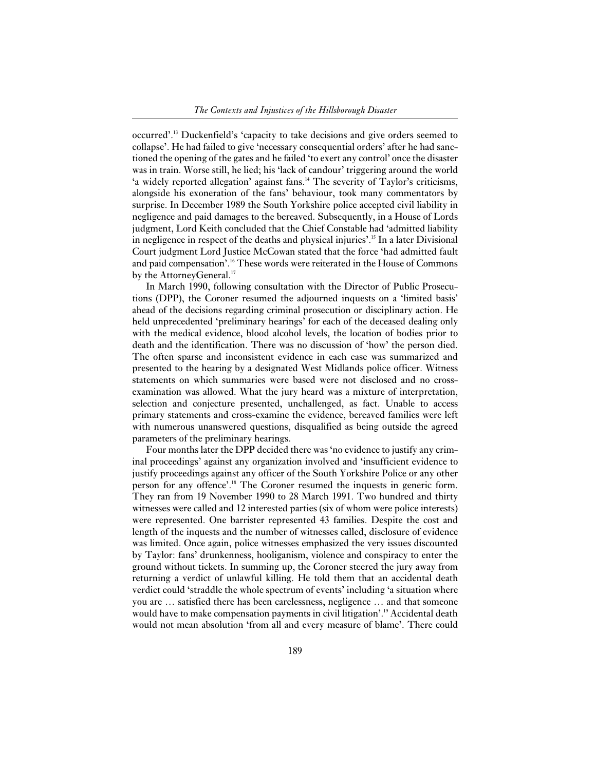occurred'.13 Duckenfield's 'capacity to take decisions and give orders seemed to collapse'. He had failed to give 'necessary consequential orders' after he had sanctioned the opening of the gates and he failed 'to exert any control' once the disaster was in train. Worse still, he lied; his 'lack of candour' triggering around the world 'a widely reported allegation' against fans.<sup>14</sup> The severity of Taylor's criticisms, alongside his exoneration of the fans' behaviour, took many commentators by surprise. In December 1989 the South Yorkshire police accepted civil liability in negligence and paid damages to the bereaved. Subsequently, in a House of Lords judgment, Lord Keith concluded that the Chief Constable had 'admitted liability in negligence in respect of the deaths and physical injuries'.<sup>15</sup> In a later Divisional Court judgment Lord Justice McCowan stated that the force 'had admitted fault and paid compensation'.16 These words were reiterated in the House of Commons by the AttorneyGeneral.<sup>17</sup>

In March 1990, following consultation with the Director of Public Prosecutions (DPP), the Coroner resumed the adjourned inquests on a 'limited basis' ahead of the decisions regarding criminal prosecution or disciplinary action. He held unprecedented 'preliminary hearings' for each of the deceased dealing only with the medical evidence, blood alcohol levels, the location of bodies prior to death and the identification. There was no discussion of 'how' the person died. The often sparse and inconsistent evidence in each case was summarized and presented to the hearing by a designated West Midlands police officer. Witness statements on which summaries were based were not disclosed and no crossexamination was allowed. What the jury heard was a mixture of interpretation, selection and conjecture presented, unchallenged, as fact. Unable to access primary statements and cross-examine the evidence, bereaved families were left with numerous unanswered questions, disqualified as being outside the agreed parameters of the preliminary hearings.

Four months later the DPP decided there was 'no evidence to justify any criminal proceedings' against any organization involved and 'insufficient evidence to justify proceedings against any officer of the South Yorkshire Police or any other person for any offence'.18 The Coroner resumed the inquests in generic form. They ran from 19 November 1990 to 28 March 1991. Two hundred and thirty witnesses were called and 12 interested parties (six of whom were police interests) were represented. One barrister represented 43 families. Despite the cost and length of the inquests and the number of witnesses called, disclosure of evidence was limited. Once again, police witnesses emphasized the very issues discounted by Taylor: fans' drunkenness, hooliganism, violence and conspiracy to enter the ground without tickets. In summing up, the Coroner steered the jury away from returning a verdict of unlawful killing. He told them that an accidental death verdict could 'straddle the whole spectrum of events' including 'a situation where you are … satisfied there has been carelessness, negligence … and that someone would have to make compensation payments in civil litigation'.<sup>19</sup> Accidental death would not mean absolution 'from all and every measure of blame'. There could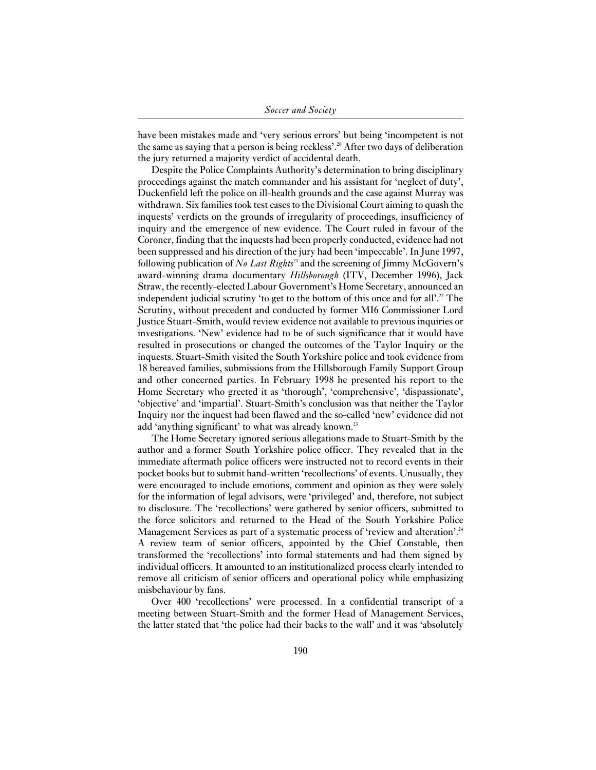have been mistakes made and 'very serious errors' but being 'incompetent is not the same as saying that a person is being reckless'.20 After two days of deliberation the jury returned a majority verdict of accidental death.

Despite the Police Complaints Authority's determination to bring disciplinary proceedings against the match commander and his assistant for 'neglect of duty', Duckenfield left the police on ill-health grounds and the case against Murray was withdrawn. Six families took test cases to the Divisional Court aiming to quash the inquests' verdicts on the grounds of irregularity of proceedings, insufficiency of inquiry and the emergence of new evidence. The Court ruled in favour of the Coroner, finding that the inquests had been properly conducted, evidence had not been suppressed and his direction of the jury had been 'impeccable'. In June 1997, following publication of *No Last Rights*21 and the screening of Jimmy McGovern's award-winning drama documentary *Hillsborough* (ITV, December 1996), Jack Straw, the recently-elected Labour Government's Home Secretary, announced an independent judicial scrutiny 'to get to the bottom of this once and for all'.<sup>22</sup> The Scrutiny, without precedent and conducted by former MI6 Commissioner Lord Justice Stuart-Smith, would review evidence not available to previous inquiries or investigations. 'New' evidence had to be of such significance that it would have resulted in prosecutions or changed the outcomes of the Taylor Inquiry or the inquests. Stuart-Smith visited the South Yorkshire police and took evidence from 18 bereaved families, submissions from the Hillsborough Family Support Group and other concerned parties. In February 1998 he presented his report to the Home Secretary who greeted it as 'thorough', 'comprehensive', 'dispassionate', 'objective' and 'impartial'. Stuart-Smith's conclusion was that neither the Taylor Inquiry nor the inquest had been flawed and the so-called 'new' evidence did not add 'anything significant' to what was already known.<sup>23</sup>

The Home Secretary ignored serious allegations made to Stuart-Smith by the author and a former South Yorkshire police officer. They revealed that in the immediate aftermath police officers were instructed not to record events in their pocket books but to submit hand-written 'recollections' of events. Unusually, they were encouraged to include emotions, comment and opinion as they were solely for the information of legal advisors, were 'privileged' and, therefore, not subject to disclosure. The 'recollections' were gathered by senior officers, submitted to the force solicitors and returned to the Head of the South Yorkshire Police Management Services as part of a systematic process of 'review and alteration'.<sup>24</sup> A review team of senior officers, appointed by the Chief Constable, then transformed the 'recollections' into formal statements and had them signed by individual officers. It amounted to an institutionalized process clearly intended to remove all criticism of senior officers and operational policy while emphasizing misbehaviour by fans.

Over 400 'recollections' were processed. In a confidential transcript of a meeting between Stuart-Smith and the former Head of Management Services, the latter stated that 'the police had their backs to the wall' and it was 'absolutely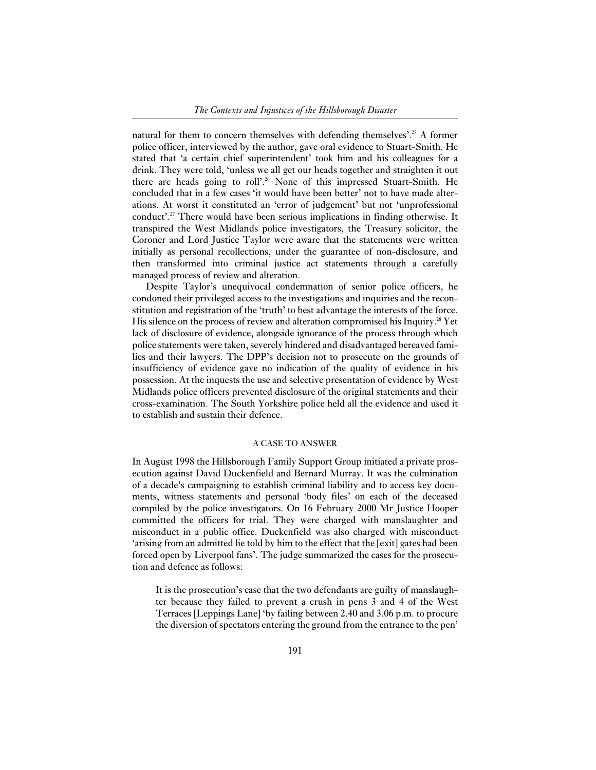natural for them to concern themselves with defending themselves'.<sup>25</sup> A former police officer, interviewed by the author, gave oral evidence to Stuart-Smith. He stated that 'a certain chief superintendent' took him and his colleagues for a drink. They were told, 'unless we all get our heads together and straighten it out there are heads going to roll'.<sup>26</sup> None of this impressed Stuart-Smith. He concluded that in a few cases 'it would have been better' not to have made alterations. At worst it constituted an 'error of judgement' but not 'unprofessional conduct'.<sup>27</sup> There would have been serious implications in finding otherwise. It transpired the West Midlands police investigators, the Treasury solicitor, the Coroner and Lord Justice Taylor were aware that the statements were written initially as personal recollections, under the guarantee of non-disclosure, and then transformed into criminal justice act statements through a carefully managed process of review and alteration.

Despite Taylor's unequivocal condemnation of senior police officers, he condoned their privileged access to the investigations and inquiries and the reconstitution and registration of the 'truth' to best advantage the interests of the force. His silence on the process of review and alteration compromised his Inquiry.<sup>28</sup> Yet lack of disclosure of evidence, alongside ignorance of the process through which police statements were taken, severely hindered and disadvantaged bereaved families and their lawyers. The DPP's decision not to prosecute on the grounds of insufficiency of evidence gave no indication of the quality of evidence in his possession. At the inquests the use and selective presentation of evidence by West Midlands police officers prevented disclosure of the original statements and their cross-examination. The South Yorkshire police held all the evidence and used it to establish and sustain their defence.

### A CASE TO ANSWER

In August 1998 the Hillsborough Family Support Group initiated a private prosecution against David Duckenfield and Bernard Murray. It was the culmination of a decade's campaigning to establish criminal liability and to access key documents, witness statements and personal 'body files' on each of the deceased compiled by the police investigators. On 16 February 2000 Mr Justice Hooper committed the officers for trial. They were charged with manslaughter and misconduct in a public office. Duckenfield was also charged with misconduct 'arising from an admitted lie told by him to the effect that the [exit] gates had been forced open by Liverpool fans'. The judge summarized the cases for the prosecution and defence as follows:

It is the prosecution's case that the two defendants are guilty of manslaughter because they failed to prevent a crush in pens 3 and 4 of the West Terraces [Leppings Lane] 'by failing between 2.40 and 3.06 p.m. to procure the diversion of spectators entering the ground from the entrance to the pen'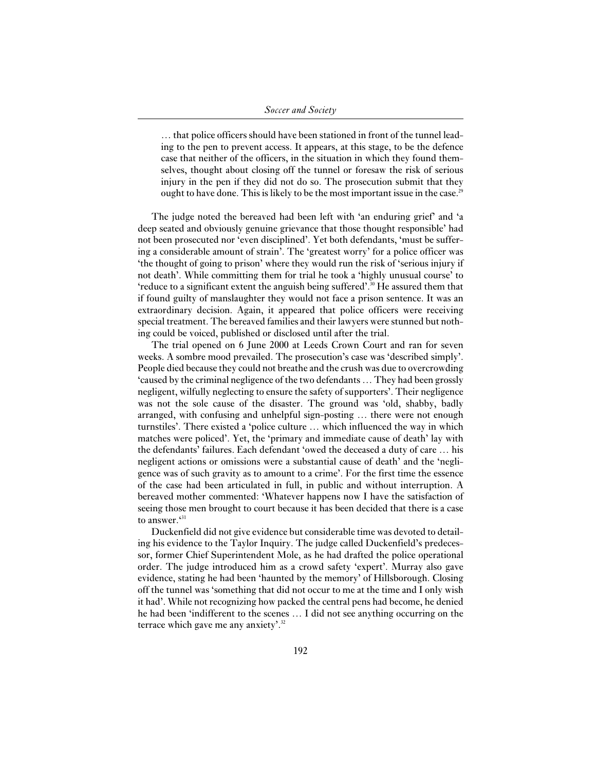… that police officers should have been stationed in front of the tunnel leading to the pen to prevent access. It appears, at this stage, to be the defence case that neither of the officers, in the situation in which they found themselves, thought about closing off the tunnel or foresaw the risk of serious injury in the pen if they did not do so. The prosecution submit that they ought to have done. This is likely to be the most important issue in the case.<sup>29</sup>

The judge noted the bereaved had been left with 'an enduring grief' and 'a deep seated and obviously genuine grievance that those thought responsible' had not been prosecuted nor 'even disciplined'. Yet both defendants, 'must be suffering a considerable amount of strain'. The 'greatest worry' for a police officer was 'the thought of going to prison' where they would run the risk of 'serious injury if not death'. While committing them for trial he took a 'highly unusual course' to 'reduce to a significant extent the anguish being suffered'.30 He assured them that if found guilty of manslaughter they would not face a prison sentence. It was an extraordinary decision. Again, it appeared that police officers were receiving special treatment. The bereaved families and their lawyers were stunned but nothing could be voiced, published or disclosed until after the trial.

The trial opened on 6 June 2000 at Leeds Crown Court and ran for seven weeks. A sombre mood prevailed. The prosecution's case was 'described simply'. People died because they could not breathe and the crush was due to overcrowding 'caused by the criminal negligence of the two defendants … They had been grossly negligent, wilfully neglecting to ensure the safety of supporters'. Their negligence was not the sole cause of the disaster. The ground was 'old, shabby, badly arranged, with confusing and unhelpful sign-posting … there were not enough turnstiles'. There existed a 'police culture … which influenced the way in which matches were policed'. Yet, the 'primary and immediate cause of death' lay with the defendants' failures. Each defendant 'owed the deceased a duty of care … his negligent actions or omissions were a substantial cause of death' and the 'negligence was of such gravity as to amount to a crime'. For the first time the essence of the case had been articulated in full, in public and without interruption. A bereaved mother commented: 'Whatever happens now I have the satisfaction of seeing those men brought to court because it has been decided that there is a case to answer.<sup>631</sup>

Duckenfield did not give evidence but considerable time was devoted to detailing his evidence to the Taylor Inquiry. The judge called Duckenfield's predecessor, former Chief Superintendent Mole, as he had drafted the police operational order. The judge introduced him as a crowd safety 'expert'. Murray also gave evidence, stating he had been 'haunted by the memory' of Hillsborough. Closing off the tunnel was 'something that did not occur to me at the time and I only wish it had'. While not recognizing how packed the central pens had become, he denied he had been 'indifferent to the scenes … I did not see anything occurring on the terrace which gave me any anxiety'.<sup>32</sup>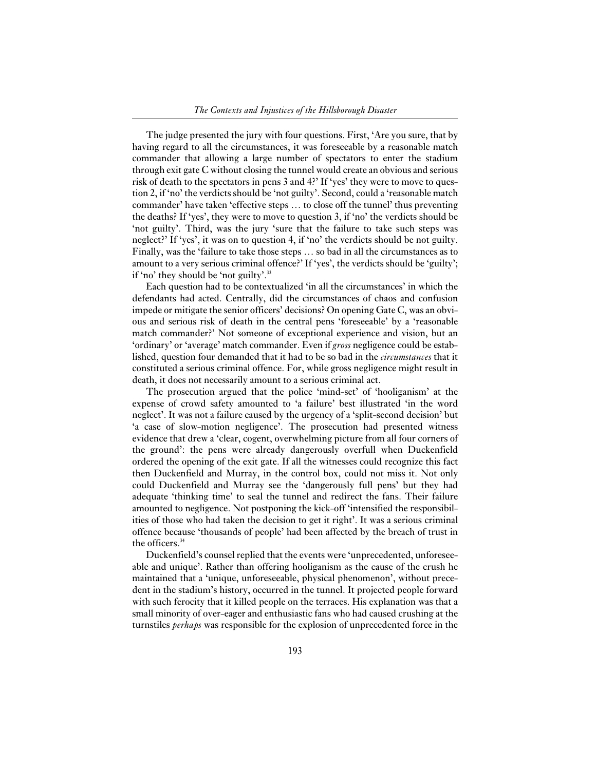The judge presented the jury with four questions. First, 'Are you sure, that by having regard to all the circumstances, it was foreseeable by a reasonable match commander that allowing a large number of spectators to enter the stadium through exit gate C without closing the tunnel would create an obvious and serious risk of death to the spectators in pens 3 and 4?' If 'yes' they were to move to question 2, if 'no' the verdicts should be 'not guilty'. Second, could a 'reasonable match commander' have taken 'effective steps … to close off the tunnel' thus preventing the deaths? If 'yes', they were to move to question 3, if 'no' the verdicts should be 'not guilty'. Third, was the jury 'sure that the failure to take such steps was neglect?' If 'yes', it was on to question 4, if 'no' the verdicts should be not guilty. Finally, was the 'failure to take those steps … so bad in all the circumstances as to amount to a very serious criminal offence?' If 'yes', the verdicts should be 'guilty'; if 'no' they should be 'not guilty'.<sup>33</sup>

Each question had to be contextualized 'in all the circumstances' in which the defendants had acted. Centrally, did the circumstances of chaos and confusion impede or mitigate the senior officers' decisions? On opening Gate C, was an obvious and serious risk of death in the central pens 'foreseeable' by a 'reasonable match commander?' Not someone of exceptional experience and vision, but an 'ordinary' or 'average' match commander. Even if *gross* negligence could be established, question four demanded that it had to be so bad in the *circumstances* that it constituted a serious criminal offence. For, while gross negligence might result in death, it does not necessarily amount to a serious criminal act.

The prosecution argued that the police 'mind-set' of 'hooliganism' at the expense of crowd safety amounted to 'a failure' best illustrated 'in the word neglect'. It was not a failure caused by the urgency of a 'split-second decision' but 'a case of slow-motion negligence'. The prosecution had presented witness evidence that drew a 'clear, cogent, overwhelming picture from all four corners of the ground': the pens were already dangerously overfull when Duckenfield ordered the opening of the exit gate. If all the witnesses could recognize this fact then Duckenfield and Murray, in the control box, could not miss it. Not only could Duckenfield and Murray see the 'dangerously full pens' but they had adequate 'thinking time' to seal the tunnel and redirect the fans. Their failure amounted to negligence. Not postponing the kick-off 'intensified the responsibilities of those who had taken the decision to get it right'. It was a serious criminal offence because 'thousands of people' had been affected by the breach of trust in the officers.<sup>34</sup>

Duckenfield's counsel replied that the events were 'unprecedented, unforeseeable and unique'. Rather than offering hooliganism as the cause of the crush he maintained that a 'unique, unforeseeable, physical phenomenon', without precedent in the stadium's history, occurred in the tunnel. It projected people forward with such ferocity that it killed people on the terraces. His explanation was that a small minority of over-eager and enthusiastic fans who had caused crushing at the turnstiles *perhaps* was responsible for the explosion of unprecedented force in the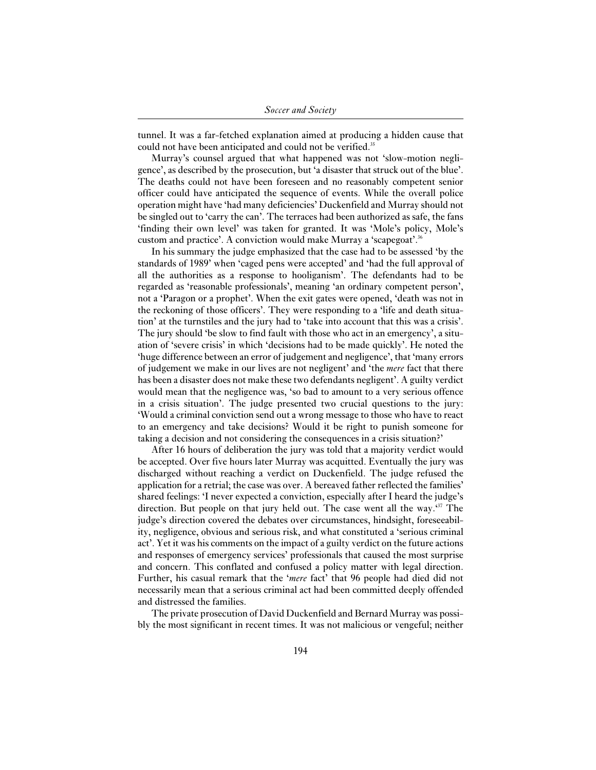tunnel. It was a far-fetched explanation aimed at producing a hidden cause that could not have been anticipated and could not be verified.<sup>35</sup>

Murray's counsel argued that what happened was not 'slow-motion negligence', as described by the prosecution, but 'a disaster that struck out of the blue'. The deaths could not have been foreseen and no reasonably competent senior officer could have anticipated the sequence of events. While the overall police operation might have 'had many deficiencies' Duckenfield and Murray should not be singled out to 'carry the can'. The terraces had been authorized as safe, the fans 'finding their own level' was taken for granted. It was 'Mole's policy, Mole's custom and practice'. A conviction would make Murray a 'scapegoat'.36

In his summary the judge emphasized that the case had to be assessed 'by the standards of 1989' when 'caged pens were accepted' and 'had the full approval of all the authorities as a response to hooliganism'. The defendants had to be regarded as 'reasonable professionals', meaning 'an ordinary competent person', not a 'Paragon or a prophet'. When the exit gates were opened, 'death was not in the reckoning of those officers'. They were responding to a 'life and death situation' at the turnstiles and the jury had to 'take into account that this was a crisis'. The jury should 'be slow to find fault with those who act in an emergency', a situation of 'severe crisis' in which 'decisions had to be made quickly'. He noted the 'huge difference between an error of judgement and negligence', that 'many errors of judgement we make in our lives are not negligent' and 'the *mere* fact that there has been a disaster does not make these two defendants negligent'. A guilty verdict would mean that the negligence was, 'so bad to amount to a very serious offence in a crisis situation'. The judge presented two crucial questions to the jury: 'Would a criminal conviction send out a wrong message to those who have to react to an emergency and take decisions? Would it be right to punish someone for taking a decision and not considering the consequences in a crisis situation?'

After 16 hours of deliberation the jury was told that a majority verdict would be accepted. Over five hours later Murray was acquitted. Eventually the jury was discharged without reaching a verdict on Duckenfield. The judge refused the application for a retrial; the case was over. A bereaved father reflected the families' shared feelings: 'I never expected a conviction, especially after I heard the judge's direction. But people on that jury held out. The case went all the way.<sup>437</sup> The judge's direction covered the debates over circumstances, hindsight, foreseeability, negligence, obvious and serious risk, and what constituted a 'serious criminal act'. Yet it was his comments on the impact of a guilty verdict on the future actions and responses of emergency services' professionals that caused the most surprise and concern. This conflated and confused a policy matter with legal direction. Further, his casual remark that the '*mere* fact' that 96 people had died did not necessarily mean that a serious criminal act had been committed deeply offended and distressed the families.

The private prosecution of David Duckenfield and Bernard Murray was possibly the most significant in recent times. It was not malicious or vengeful; neither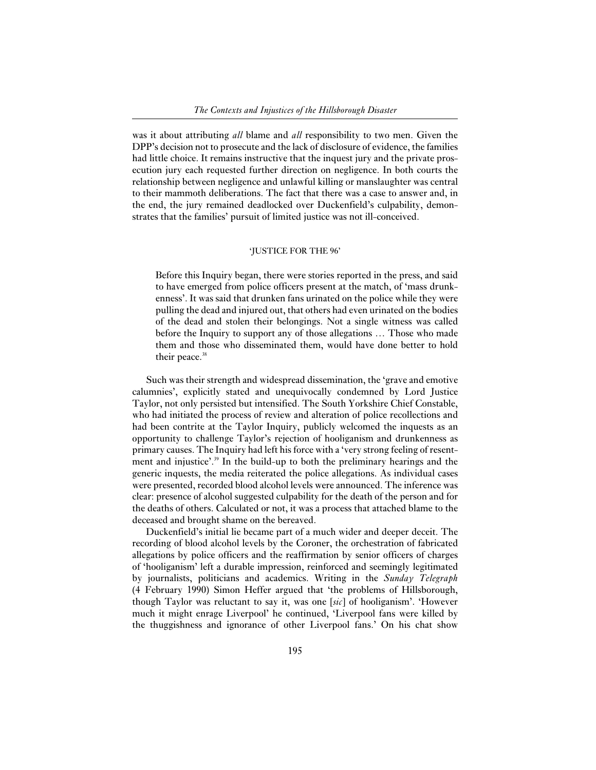was it about attributing *all* blame and *all* responsibility to two men. Given the DPP's decision not to prosecute and the lack of disclosure of evidence, the families had little choice. It remains instructive that the inquest jury and the private prosecution jury each requested further direction on negligence. In both courts the relationship between negligence and unlawful killing or manslaughter was central to their mammoth deliberations. The fact that there was a case to answer and, in the end, the jury remained deadlocked over Duckenfield's culpability, demonstrates that the families' pursuit of limited justice was not ill-conceived.

### 'JUSTICE FOR THE 96'

Before this Inquiry began, there were stories reported in the press, and said to have emerged from police officers present at the match, of 'mass drunkenness'. It was said that drunken fans urinated on the police while they were pulling the dead and injured out, that others had even urinated on the bodies of the dead and stolen their belongings. Not a single witness was called before the Inquiry to support any of those allegations … Those who made them and those who disseminated them, would have done better to hold their peace.<sup>38</sup>

Such was their strength and widespread dissemination, the 'grave and emotive calumnies', explicitly stated and unequivocally condemned by Lord Justice Taylor, not only persisted but intensified. The South Yorkshire Chief Constable, who had initiated the process of review and alteration of police recollections and had been contrite at the Taylor Inquiry, publicly welcomed the inquests as an opportunity to challenge Taylor's rejection of hooliganism and drunkenness as primary causes. The Inquiry had left his force with a 'very strong feeling of resentment and injustice'.39 In the build-up to both the preliminary hearings and the generic inquests, the media reiterated the police allegations. As individual cases were presented, recorded blood alcohol levels were announced. The inference was clear: presence of alcohol suggested culpability for the death of the person and for the deaths of others. Calculated or not, it was a process that attached blame to the deceased and brought shame on the bereaved.

Duckenfield's initial lie became part of a much wider and deeper deceit. The recording of blood alcohol levels by the Coroner, the orchestration of fabricated allegations by police officers and the reaffirmation by senior officers of charges of 'hooliganism' left a durable impression, reinforced and seemingly legitimated by journalists, politicians and academics. Writing in the *Sunday Telegraph* (4 February 1990) Simon Heffer argued that 'the problems of Hillsborough, though Taylor was reluctant to say it, was one [*sic*] of hooliganism'. 'However much it might enrage Liverpool' he continued, 'Liverpool fans were killed by the thuggishness and ignorance of other Liverpool fans.' On his chat show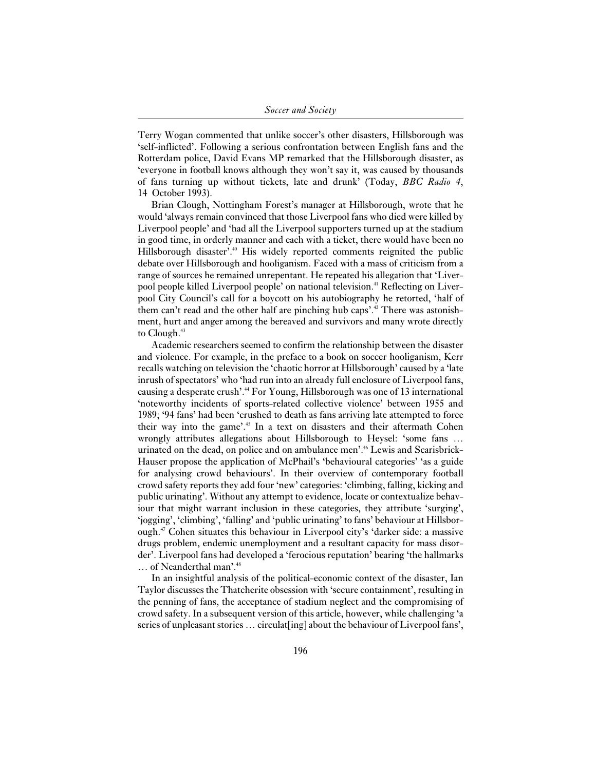Terry Wogan commented that unlike soccer's other disasters, Hillsborough was 'self-inflicted'. Following a serious confrontation between English fans and the Rotterdam police, David Evans MP remarked that the Hillsborough disaster, as 'everyone in football knows although they won't say it, was caused by thousands of fans turning up without tickets, late and drunk' (Today, *BBC Radio 4*, 14 October 1993).

Brian Clough, Nottingham Forest's manager at Hillsborough, wrote that he would 'always remain convinced that those Liverpool fans who died were killed by Liverpool people' and 'had all the Liverpool supporters turned up at the stadium in good time, in orderly manner and each with a ticket, there would have been no Hillsborough disaster'.<sup>40</sup> His widely reported comments reignited the public debate over Hillsborough and hooliganism. Faced with a mass of criticism from a range of sources he remained unrepentant. He repeated his allegation that 'Liverpool people killed Liverpool people' on national television.<sup>41</sup> Reflecting on Liverpool City Council's call for a boycott on his autobiography he retorted, 'half of them can't read and the other half are pinching hub caps'.<sup>42</sup> There was astonishment, hurt and anger among the bereaved and survivors and many wrote directly to Clough.<sup>43</sup>

Academic researchers seemed to confirm the relationship between the disaster and violence. For example, in the preface to a book on soccer hooliganism, Kerr recalls watching on television the 'chaotic horror at Hillsborough' caused by a 'late inrush of spectators' who 'had run into an already full enclosure of Liverpool fans, causing a desperate crush'.<sup>44</sup> For Young, Hillsborough was one of 13 international 'noteworthy incidents of sports-related collective violence' between 1955 and 1989; '94 fans' had been 'crushed to death as fans arriving late attempted to force their way into the game'.<sup>45</sup> In a text on disasters and their aftermath Cohen wrongly attributes allegations about Hillsborough to Heysel: 'some fans … urinated on the dead, on police and on ambulance men'.<sup>46</sup> Lewis and Scarisbrick-Hauser propose the application of McPhail's 'behavioural categories' 'as a guide for analysing crowd behaviours'. In their overview of contemporary football crowd safety reports they add four 'new' categories: 'climbing, falling, kicking and public urinating'. Without any attempt to evidence, locate or contextualize behaviour that might warrant inclusion in these categories, they attribute 'surging', 'jogging', 'climbing', 'falling' and 'public urinating' to fans' behaviour at Hillsborough.47 Cohen situates this behaviour in Liverpool city's 'darker side: a massive drugs problem, endemic unemployment and a resultant capacity for mass disorder'. Liverpool fans had developed a 'ferocious reputation' bearing 'the hallmarks ... of Neanderthal man'.<sup>48</sup>

In an insightful analysis of the political-economic context of the disaster, Ian Taylor discusses the Thatcherite obsession with 'secure containment', resulting in the penning of fans, the acceptance of stadium neglect and the compromising of crowd safety. In a subsequent version of this article, however, while challenging 'a series of unpleasant stories … circulat[ing] about the behaviour of Liverpool fans',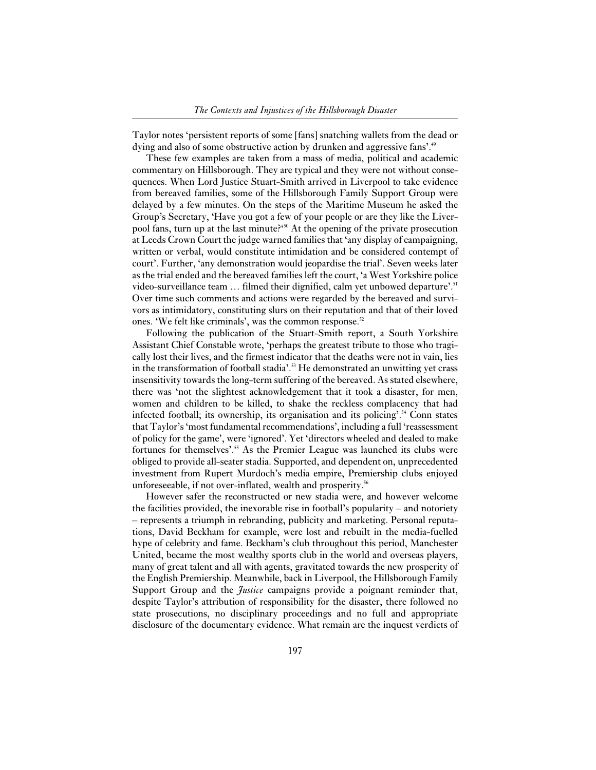Taylor notes 'persistent reports of some [fans] snatching wallets from the dead or dying and also of some obstructive action by drunken and aggressive fans'.<sup>49</sup>

These few examples are taken from a mass of media, political and academic commentary on Hillsborough. They are typical and they were not without consequences. When Lord Justice Stuart-Smith arrived in Liverpool to take evidence from bereaved families, some of the Hillsborough Family Support Group were delayed by a few minutes. On the steps of the Maritime Museum he asked the Group's Secretary, 'Have you got a few of your people or are they like the Liverpool fans, turn up at the last minute?'50 At the opening of the private prosecution at Leeds Crown Court the judge warned families that 'any display of campaigning, written or verbal, would constitute intimidation and be considered contempt of court'. Further, 'any demonstration would jeopardise the trial'. Seven weeks later as the trial ended and the bereaved families left the court, 'a West Yorkshire police video-surveillance team ... filmed their dignified, calm yet unbowed departure'.<sup>51</sup> Over time such comments and actions were regarded by the bereaved and survivors as intimidatory, constituting slurs on their reputation and that of their loved ones. 'We felt like criminals', was the common response.<sup>52</sup>

Following the publication of the Stuart-Smith report, a South Yorkshire Assistant Chief Constable wrote, 'perhaps the greatest tribute to those who tragically lost their lives, and the firmest indicator that the deaths were not in vain, lies in the transformation of football stadia'.<sup>53</sup> He demonstrated an unwitting yet crass insensitivity towards the long-term suffering of the bereaved. As stated elsewhere, there was 'not the slightest acknowledgement that it took a disaster, for men, women and children to be killed, to shake the reckless complacency that had infected football; its ownership, its organisation and its policing'.<sup>54</sup> Conn states that Taylor's 'most fundamental recommendations', including a full 'reassessment of policy for the game', were 'ignored'. Yet 'directors wheeled and dealed to make fortunes for themselves'.<sup>55</sup> As the Premier League was launched its clubs were obliged to provide all-seater stadia. Supported, and dependent on, unprecedented investment from Rupert Murdoch's media empire, Premiership clubs enjoyed unforeseeable, if not over-inflated, wealth and prosperity.<sup>56</sup>

However safer the reconstructed or new stadia were, and however welcome the facilities provided, the inexorable rise in football's popularity – and notoriety – represents a triumph in rebranding, publicity and marketing. Personal reputations, David Beckham for example, were lost and rebuilt in the media-fuelled hype of celebrity and fame. Beckham's club throughout this period, Manchester United, became the most wealthy sports club in the world and overseas players, many of great talent and all with agents, gravitated towards the new prosperity of the English Premiership. Meanwhile, back in Liverpool, the Hillsborough Family Support Group and the *Justice* campaigns provide a poignant reminder that, despite Taylor's attribution of responsibility for the disaster, there followed no state prosecutions, no disciplinary proceedings and no full and appropriate disclosure of the documentary evidence. What remain are the inquest verdicts of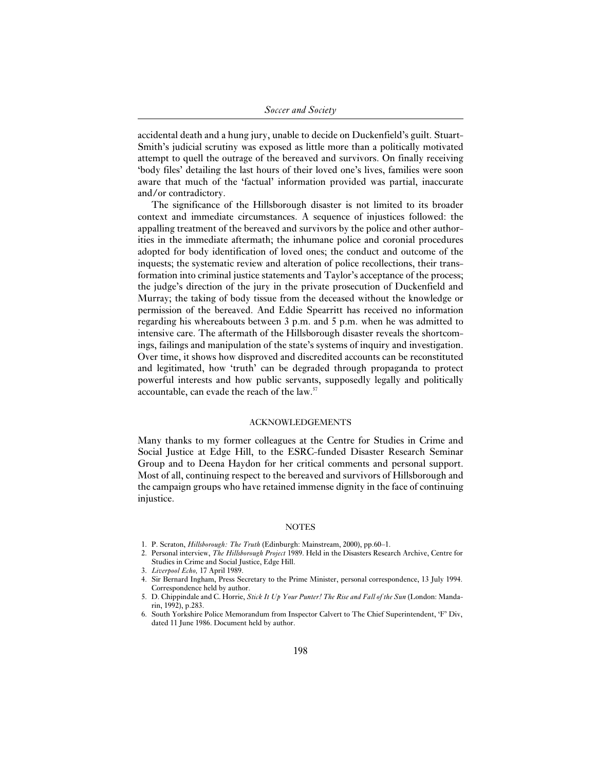accidental death and a hung jury, unable to decide on Duckenfield's guilt. Stuart-Smith's judicial scrutiny was exposed as little more than a politically motivated attempt to quell the outrage of the bereaved and survivors. On finally receiving 'body files' detailing the last hours of their loved one's lives, families were soon aware that much of the 'factual' information provided was partial, inaccurate and/or contradictory.

The significance of the Hillsborough disaster is not limited to its broader context and immediate circumstances. A sequence of injustices followed: the appalling treatment of the bereaved and survivors by the police and other authorities in the immediate aftermath; the inhumane police and coronial procedures adopted for body identification of loved ones; the conduct and outcome of the inquests; the systematic review and alteration of police recollections, their transformation into criminal justice statements and Taylor's acceptance of the process; the judge's direction of the jury in the private prosecution of Duckenfield and Murray; the taking of body tissue from the deceased without the knowledge or permission of the bereaved. And Eddie Spearritt has received no information regarding his whereabouts between 3 p.m. and 5 p.m. when he was admitted to intensive care. The aftermath of the Hillsborough disaster reveals the shortcomings, failings and manipulation of the state's systems of inquiry and investigation. Over time, it shows how disproved and discredited accounts can be reconstituted and legitimated, how 'truth' can be degraded through propaganda to protect powerful interests and how public servants, supposedly legally and politically accountable, can evade the reach of the law.<sup>57</sup>

## ACKNOWLEDGEMENTS

Many thanks to my former colleagues at the Centre for Studies in Crime and Social Justice at Edge Hill, to the ESRC-funded Disaster Research Seminar Group and to Deena Haydon for her critical comments and personal support. Most of all, continuing respect to the bereaved and survivors of Hillsborough and the campaign groups who have retained immense dignity in the face of continuing injustice.

#### **NOTES**

- 1. P. Scraton, *Hillsborough: The Truth* (Edinburgh: Mainstream, 2000), pp.60–1.
- 2. Personal interview, *The Hillsborough Project* 1989. Held in the Disasters Research Archive, Centre for Studies in Crime and Social Justice, Edge Hill.
- 3. *Liverpool Echo,* 17 April 1989.
- 4. Sir Bernard Ingham, Press Secretary to the Prime Minister, personal correspondence, 13 July 1994. Correspondence held by author.
- 5. D. Chippindale and C. Horrie, *Stick It Up Your Punter! The Rise and Fall of the Sun* (London: Mandarin, 1992), p.283.
- 6. South Yorkshire Police Memorandum from Inspector Calvert to The Chief Superintendent, 'F' Div, dated 11 June 1986. Document held by author.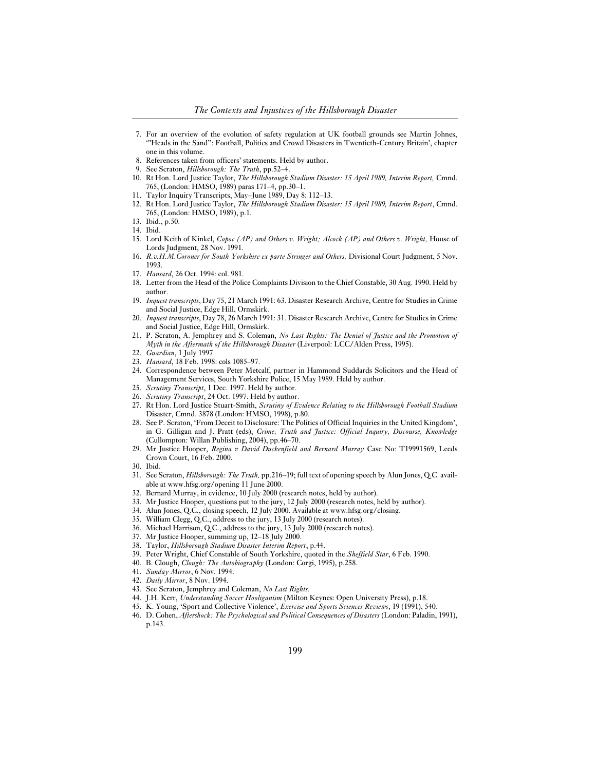- 7. For an overview of the evolution of safety regulation at UK football grounds see Martin Johnes, '"Heads in the Sand": Football, Politics and Crowd Disasters in Twentieth-Century Britain', chapter one in this volume.
- 8. References taken from officers' statements. Held by author.
- 9. See Scraton, *Hillsborough: The Truth*, pp.52–4.
- 10. Rt Hon. Lord Justice Taylor, *The Hillsborough Stadium Disaster: 15 April 1989, Interim Report,* Cmnd. 765, (London: HMSO, 1989) paras 171–4, pp.30–1.
- 11. Taylor Inquiry Transcripts, May–June 1989, Day 8: 112–13.
- 12. Rt Hon. Lord Justice Taylor, *The Hillsborough Stadium Disaster: 15 April 1989, Interim Report*, Cmnd. 765, (London: HMSO, 1989), p.1.
- 13. Ibid., p.50.
- 14. Ibid.
- 15. Lord Keith of Kinkel, *Copoc (AP) and Others v. Wright; Alcock (AP) and Others v. Wright,* House of Lords Judgment, 28 Nov. 1991.
- 16. *R.v.H.M.Coroner for South Yorkshire ex parte Stringer and Others,* Divisional Court Judgment, 5 Nov. 1993.
- 17. *Hansard*, 26 Oct. 1994: col. 981.
- 18. Letter from the Head of the Police Complaints Division to the Chief Constable, 30 Aug. 1990. Held by author.
- 19. *Inquest transcripts*, Day 75, 21 March 1991: 63. Disaster Research Archive, Centre for Studies in Crime and Social Justice, Edge Hill, Ormskirk.
- 20. *Inquest transcripts*, Day 78, 26 March 1991: 31. Disaster Research Archive, Centre for Studies in Crime and Social Justice, Edge Hill, Ormskirk.
- 21. P. Scraton, A. Jemphrey and S. Coleman, *No Last Rights: The Denial of Justice and the Promotion of Myth in the Aftermath of the Hillsborough Disaster* (Liverpool: LCC/Alden Press, 1995).
- 22. *Guardian*, 1 July 1997.
- 23. *Hansard*, 18 Feb. 1998: cols 1085–97.
- 24. Correspondence between Peter Metcalf, partner in Hammond Suddards Solicitors and the Head of Management Services, South Yorkshire Police, 15 May 1989. Held by author.
- 25. *Scrutiny Transcript*, 1 Dec. 1997. Held by author.
- 26. *Scrutiny Transcript*, 24 Oct. 1997. Held by author.
- 27. Rt Hon. Lord Justice Stuart-Smith, *Scrutiny of Evidence Relating to the Hillsborough Football Stadium* Disaster, Cmnd. 3878 (London: HMSO, 1998), p.80.
- 28. See P. Scraton, 'From Deceit to Disclosure: The Politics of Official Inquiries in the United Kingdom', in G. Gilligan and J. Pratt (eds), *Crime, Truth and Justice: Official Inquiry, Discourse, Knowledge* (Cullompton: Willan Publishing, 2004), pp.46–70.
- 29. Mr Justice Hooper, *Regina v David Duckenfield and Bernard Murray* Case No: T19991569, Leeds Crown Court, 16 Feb. 2000.
- 30. Ibid.
- 31. See Scraton, *Hillsborough: The Truth,* pp.216–19; full text of opening speech by Alun Jones, Q.C. available at www.hfsg.org/opening 11 June 2000.
- 32. Bernard Murray, in evidence, 10 July 2000 (research notes, held by author).
- 33. Mr Justice Hooper, questions put to the jury, 12 July 2000 (research notes, held by author).
- 34. Alun Jones, Q.C., closing speech, 12 July 2000. Available at www.hfsg.org/closing.
- 35. William Clegg, Q.C., address to the jury, 13 July 2000 (research notes).
- 36. Michael Harrison, Q.C., address to the jury, 13 July 2000 (research notes).
- 37. Mr Justice Hooper, summing up, 12–18 July 2000.
- 38. Taylor, *Hillsborough Stadium Disaster Interim Report*, p.44.
- 39. Peter Wright, Chief Constable of South Yorkshire, quoted in the *Sheffield Star*, 6 Feb. 1990.
- 40. B. Clough, *Clough: The Autobiography* (London: Corgi, 1995), p.258.
- 41. *Sunday Mirror*, 6 Nov. 1994.
- 42. *Daily Mirror*, 8 Nov. 1994.
- 43. See Scraton, Jemphrey and Coleman, *No Last Rights.*
- 44. J.H. Kerr, *Understanding Soccer Hooliganism* (Milton Keynes: Open University Press), p.18.
- 45. K. Young, 'Sport and Collective Violence', *Exercise and Sports Sciences Reviews*, 19 (1991), 540.
- 46. D. Cohen, *Aftershock: The Psychological and Political Consequences of Disasters* (London: Paladin, 1991), p.143.